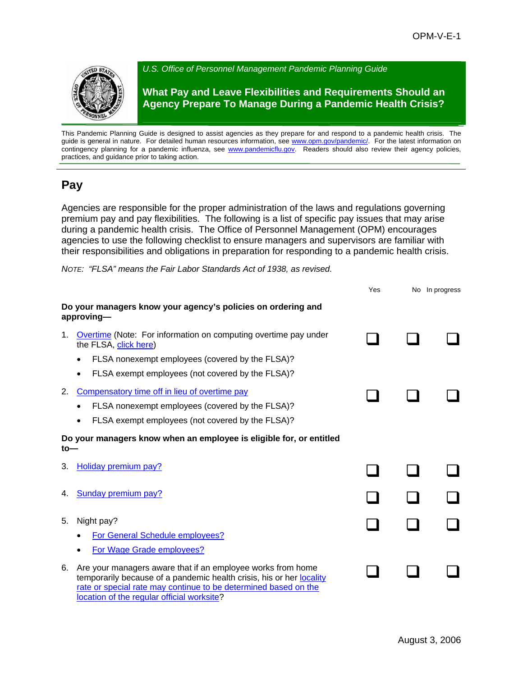

This Pandemic Planning Guide is designed to assist agencies as they prepare for and respond to a pandemic health crisis. The guide is general in nature. For detailed human resources information, see [www.opm.gov/pandemic/.](http://www.opm.gov/pandemic/) For the latest information on contingency planning for a pandemic influenza, see [www.pandemicflu.gov](http://www.pandemicflu.gov/). Readers should also review their agency policies, practices, and guidance prior to taking action.

## **Pay**

Agencies are responsible for the proper administration of the laws and regulations governing premium pay and pay flexibilities. The following is a list of specific pay issues that may arise during a pandemic health crisis. The Office of Personnel Management (OPM) encourages agencies to use the following checklist to ensure managers and supervisors are familiar with their responsibilities and obligations in preparation for responding to a pandemic health crisis.

*NOTE: "FLSA" means the Fair Labor Standards Act of 1938, as revised.* 

|                                                                              |                                                                                                                                                                                                                                                      | Yes | No In progress |
|------------------------------------------------------------------------------|------------------------------------------------------------------------------------------------------------------------------------------------------------------------------------------------------------------------------------------------------|-----|----------------|
|                                                                              | Do your managers know your agency's policies on ordering and<br>approving-                                                                                                                                                                           |     |                |
| 1.                                                                           | Overtime (Note: For information on computing overtime pay under<br>the FLSA, click here)                                                                                                                                                             |     |                |
|                                                                              | FLSA nonexempt employees (covered by the FLSA)?                                                                                                                                                                                                      |     |                |
|                                                                              | FLSA exempt employees (not covered by the FLSA)?                                                                                                                                                                                                     |     |                |
| 2.                                                                           | Compensatory time off in lieu of overtime pay                                                                                                                                                                                                        |     |                |
|                                                                              | FLSA nonexempt employees (covered by the FLSA)?<br>٠                                                                                                                                                                                                 |     |                |
|                                                                              | FLSA exempt employees (not covered by the FLSA)?<br>$\bullet$                                                                                                                                                                                        |     |                |
| Do your managers know when an employee is eligible for, or entitled<br>$to-$ |                                                                                                                                                                                                                                                      |     |                |
| З.                                                                           | <b>Holiday premium pay?</b>                                                                                                                                                                                                                          |     |                |
| 4.                                                                           | <b>Sunday premium pay?</b>                                                                                                                                                                                                                           |     |                |
| 5.                                                                           | Night pay?                                                                                                                                                                                                                                           |     |                |
|                                                                              | For General Schedule employees?                                                                                                                                                                                                                      |     |                |
|                                                                              | For Wage Grade employees?                                                                                                                                                                                                                            |     |                |
| 6.                                                                           | Are your managers aware that if an employee works from home<br>temporarily because of a pandemic health crisis, his or her locality<br>rate or special rate may continue to be determined based on the<br>location of the regular official worksite? |     |                |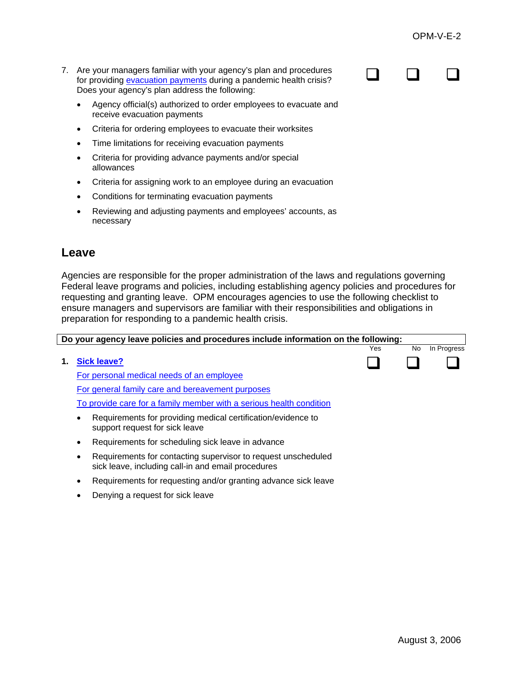$\begin{array}{ccccccccccccccccc} \square & \square & \square & \square & \square & \end{array}$ 

- 7. Are your managers familiar with your agency's plan and procedures for providing [evacuation payments](http://www.opm.gov/oca/pay/HTML/EVAC.htm) during a pandemic health crisis? Does your agency's plan address the following:
	- Agency official(s) authorized to order employees to evacuate and receive evacuation payments
	- Criteria for ordering employees to evacuate their worksites
	- Time limitations for receiving evacuation payments
	- Criteria for providing advance payments and/or special allowances
	- Criteria for assigning work to an employee during an evacuation
	- Conditions for terminating evacuation payments
	- Reviewing and adjusting payments and employees' accounts, as necessary

## **Leave**

Agencies are responsible for the proper administration of the laws and regulations governing Federal leave programs and policies, including establishing agency policies and procedures for requesting and granting leave. OPM encourages agencies to use the following checklist to ensure managers and supervisors are familiar with their responsibilities and obligations in preparation for responding to a pandemic health crisis.

|    | Do your agency leave policies and procedures include information on the following:                                  |     |    |             |  |  |  |
|----|---------------------------------------------------------------------------------------------------------------------|-----|----|-------------|--|--|--|
|    |                                                                                                                     | Yes | No | In Progress |  |  |  |
| 1. | Sick leave?                                                                                                         |     |    |             |  |  |  |
|    | For personal medical needs of an employee                                                                           |     |    |             |  |  |  |
|    | For general family care and bereavement purposes                                                                    |     |    |             |  |  |  |
|    | To provide care for a family member with a serious health condition                                                 |     |    |             |  |  |  |
|    | Requirements for providing medical certification/evidence to<br>support request for sick leave                      |     |    |             |  |  |  |
|    | Requirements for scheduling sick leave in advance                                                                   |     |    |             |  |  |  |
|    | Requirements for contacting supervisor to request unscheduled<br>sick leave, including call-in and email procedures |     |    |             |  |  |  |
|    | Requirements for requesting and/or granting advance sick leave                                                      |     |    |             |  |  |  |
|    | Denying a request for sick leave                                                                                    |     |    |             |  |  |  |
|    |                                                                                                                     |     |    |             |  |  |  |
|    |                                                                                                                     |     |    |             |  |  |  |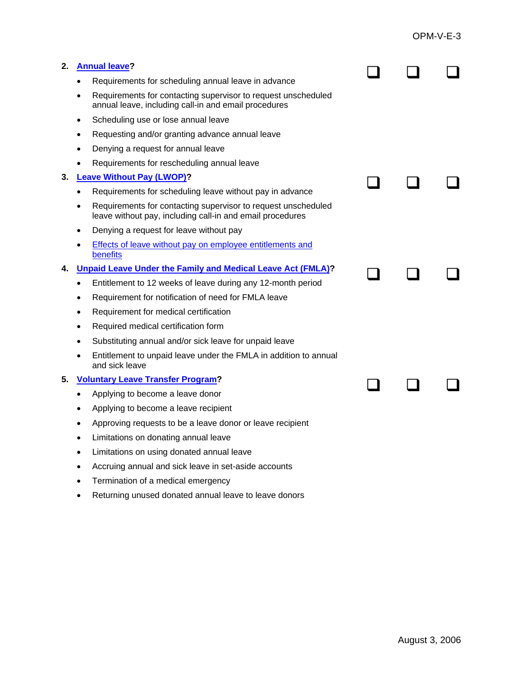| 2. | <b>Annual leave?</b>                                                                                                       |  |  |
|----|----------------------------------------------------------------------------------------------------------------------------|--|--|
|    | Requirements for scheduling annual leave in advance<br>$\bullet$                                                           |  |  |
|    | Requirements for contacting supervisor to request unscheduled<br>annual leave, including call-in and email procedures      |  |  |
|    | Scheduling use or lose annual leave<br>$\bullet$                                                                           |  |  |
|    | Requesting and/or granting advance annual leave                                                                            |  |  |
|    | Denying a request for annual leave<br>$\bullet$                                                                            |  |  |
|    | Requirements for rescheduling annual leave                                                                                 |  |  |
| З. | <b>Leave Without Pay (LWOP)?</b>                                                                                           |  |  |
|    | Requirements for scheduling leave without pay in advance<br>$\bullet$                                                      |  |  |
|    | Requirements for contacting supervisor to request unscheduled<br>leave without pay, including call-in and email procedures |  |  |
|    | Denying a request for leave without pay                                                                                    |  |  |
|    | Effects of leave without pay on employee entitlements and<br>benefits                                                      |  |  |
| 4. | <b>Unpaid Leave Under the Family and Medical Leave Act (FMLA)?</b>                                                         |  |  |
|    | Entitlement to 12 weeks of leave during any 12-month period<br>$\bullet$                                                   |  |  |
|    | Requirement for notification of need for FMLA leave<br>$\bullet$                                                           |  |  |
|    | Requirement for medical certification<br>$\bullet$                                                                         |  |  |
|    | Required medical certification form                                                                                        |  |  |
|    | Substituting annual and/or sick leave for unpaid leave                                                                     |  |  |
|    | Entitlement to unpaid leave under the FMLA in addition to annual<br>and sick leave                                         |  |  |
| 5. | <b>Voluntary Leave Transfer Program?</b>                                                                                   |  |  |
|    | Applying to become a leave donor<br>$\bullet$                                                                              |  |  |
|    | Applying to become a leave recipient                                                                                       |  |  |
|    | Approving requests to be a leave donor or leave recipient                                                                  |  |  |
|    | Limitations on donating annual leave                                                                                       |  |  |
|    | Limitations on using donated annual leave                                                                                  |  |  |
|    | Accruing annual and sick leave in set-aside accounts                                                                       |  |  |
|    | Termination of a medical emergency                                                                                         |  |  |
|    |                                                                                                                            |  |  |

• Returning unused donated annual leave to leave donors